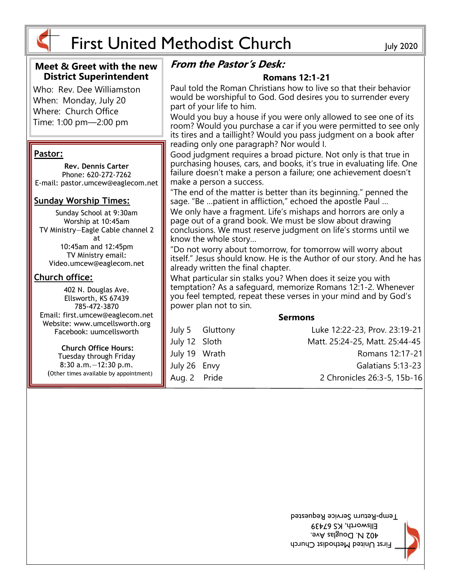

#### **Meet & Greet with the new District Superintendent**

Who: Rev. Dee Williamston When: Monday, July 20 Where: Church Office Time: 1:00 pm—2:00 pm

#### **Pastor:**

**Rev. Dennis Carter** Phone: 620-272-7262 E-mail: pastor.umcew@eaglecom.net

#### **Sunday Worship Times:**

Sunday School at 9:30am Worship at 10:45am TV Ministry—Eagle Cable channel 2 at 10:45am and 12:45pm TV Ministry email: Video.umcew@eaglecom.net

#### **Church office:**

402 N. Douglas Ave. Ellsworth, KS 67439 785-472-3870 Email: first.umcew@eaglecom.net Website: www.umcellsworth.org Facebook: uumcellsworth

**Church Office Hours:** Tuesday through Friday 8:30 a.m.—12:30 p.m. (Other times available by appointment)

## **From the Pastor's Desk:**

#### **Romans 12:1-21**

Paul told the Roman Christians how to live so that their behavior would be worshipful to God. God desires you to surrender every part of your life to him.

Would you buy a house if you were only allowed to see one of its room? Would you purchase a car if you were permitted to see only its tires and a taillight? Would you pass judgment on a book after reading only one paragraph? Nor would I.

Good judgment requires a broad picture. Not only is that true in purchasing houses, cars, and books, it's true in evaluating life. One failure doesn't make a person a failure; one achievement doesn't make a person a success.

"The end of the matter is better than its beginning." penned the sage. "Be …patient in affliction," echoed the apostle Paul …

We only have a fragment. Life's mishaps and horrors are only a page out of a grand book. We must be slow about drawing conclusions. We must reserve judgment on life's storms until we know the whole story…

"Do not worry about tomorrow, for tomorrow will worry about itself." Jesus should know. He is the Author of our story. And he has already written the final chapter.

What particular sin stalks you? When does it seize you with temptation? As a safeguard, memorize Romans 12:1-2. Whenever you feel tempted, repeat these verses in your mind and by God's power plan not to sin.

| <b>Sermons</b> |                 |                                |
|----------------|-----------------|--------------------------------|
|                | July 5 Gluttony | Luke 12:22-23, Prov. 23:19-21  |
| July 12 Sloth  |                 | Matt. 25:24-25, Matt. 25:44-45 |
| July 19 Wrath  |                 | Romans 12:17-21                |
| July 26 Envy   |                 | Galatians $5:13-23$            |
| Aug. 2 Pride   |                 | 2 Chronicles 26:3-5, 15b-16    |



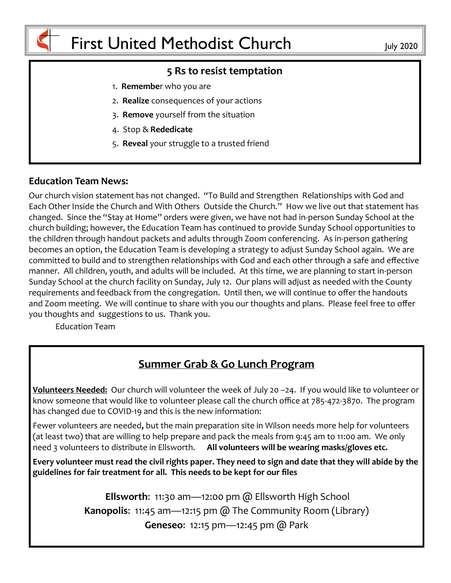

#### **5 Rs to resist temptation**

- 1. **Remembe**r who you are
- 2. **Realize** consequences of your actions
- 3. **Remove** yourself from the situation
- 4. Stop & **Rededicate**
- 5. **Reveal** your struggle to a trusted friend

#### **Education Team News:**

Our church vision statement has not changed. "To Build and Strengthen Relationships with God and Each Other Inside the Church and With Others Outside the Church." How we live out that statement has changed. Since the "Stay at Home" orders were given, we have not had in-person Sunday School at the church building; however, the Education Team has continued to provide Sunday School opportunities to the children through handout packets and adults through Zoom conferencing. As in-person gathering becomes an option, the Education Team is developing a strategy to adjust Sunday School again. We are committed to build and to strengthen relationships with God and each other through a safe and effective manner. All children, youth, and adults will be included. At this time, we are planning to start in-person Sunday School at the church facility on Sunday, July 12. Our plans will adjust as needed with the County requirements and feedback from the congregation. Until then, we will continue to offer the handouts and Zoom meeting. We will continue to share with you our thoughts and plans. Please feel free to offer you thoughts and suggestions to us. Thank you.

Education Team

# **Summer Grab & Go Lunch Program**

**Volunteers Needed:** Our church will volunteer the week of July 20 –24. If you would like to volunteer or know someone that would like to volunteer please call the church office at 785-472-3870. The program has changed due to COVID-19 and this is the new information:

Fewer volunteers are needed**,** but the main preparation site in Wilson needs more help for volunteers (at least two) that are willing to help prepare and pack the meals from 9:45 am to 11:00 am. We only need 3 volunteers to distribute in Ellsworth. **All volunteers will be wearing masks/gloves etc.**

**Every volunteer must read the civil rights paper. They need to sign and date that they will abide by the guidelines for fair treatment for all. This needs to be kept for our files** 

> **Ellsworth**: 11:30 am—12:00 pm @ Ellsworth High School **Kanopolis**: 11:45 am—12:15 pm @ The Community Room (Library) **Geneseo**: 12:15 pm—12:45 pm @ Park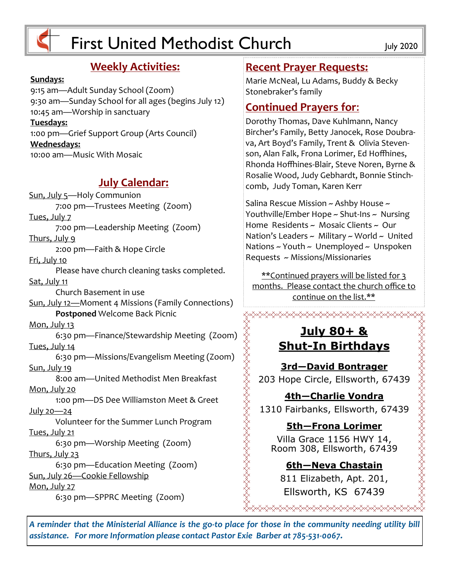

# First United Methodist Church July 2020

# **Weekly Activities:**

#### **Sundays:**

9:15 am—Adult Sunday School (Zoom) 9:30 am—Sunday School for all ages (begins July 12) 10:45 am—Worship in sanctuary **Tuesdays:** 1:00 pm—Grief Support Group (Arts Council) **Wednesdays:** 10:00 am—Music With Mosaic

# **July Calendar:**

Sun, July 5—Holy Communion 7:00 pm—Trustees Meeting (Zoom) Tues, July 7 7:00 pm—Leadership Meeting (Zoom) Thurs, July 9 2:00 pm—Faith & Hope Circle Fri, July 10 Please have church cleaning tasks completed. Sat, July 11 Church Basement in use Sun, July 12—Moment 4 Missions (Family Connections) **Postponed** Welcome Back Picnic Mon, July 13 6:30 pm—Finance/Stewardship Meeting (Zoom) Tues, July 14 6:30 pm—Missions/Evangelism Meeting (Zoom) Sun, July 19 8:00 am—United Methodist Men Breakfast Mon, July 20 1:00 pm—DS Dee Williamston Meet & Greet July 20—24 Volunteer for the Summer Lunch Program Tues, July 21 6:30 pm—Worship Meeting (Zoom) Thurs, July 23 6:30 pm—Education Meeting (Zoom) Sun, July 26—Cookie Fellowship Mon, July 27 6:30 pm—SPPRC Meeting (Zoom)

#### **Recent Prayer Requests:**

Marie McNeal, Lu Adams, Buddy & Becky Stonebraker's family

# **Continued Prayers for**:

Dorothy Thomas, Dave Kuhlmann, Nancy Bircher's Family, Betty Janocek, Rose Doubrava, Art Boyd's Family, Trent & Olivia Stevenson, Alan Falk, Frona Lorimer, Ed Hoffhines, Rhonda Hoffhines-Blair, Steve Noren, Byrne & Rosalie Wood, Judy Gebhardt, Bonnie Stinchcomb, Judy Toman, Karen Kerr

Salina Rescue Mission ~ Ashby House ~ Youthville/Ember Hope ~ Shut-Ins ~ Nursing Home Residents ~ Mosaic Clients ~ Our Nation's Leaders  $\sim$  Military  $\sim$  World  $\sim$  United Nations  $\sim$  Youth  $\sim$  Unemployed  $\sim$  Unspoken Requests ~ Missions/Missionaries

\*\*Continued prayers will be listed for 3 months. Please contact the church office to continue on the list.\*\*

<del></del>

## **July 80+ & Shut-In Birthdays**

**3rd—David Bontrager** 203 Hope Circle, Ellsworth, 67439

**4th—Charlie Vondra** 1310 Fairbanks, Ellsworth, 67439 ## **5th—Frona Lorimer**

Villa Grace 1156 HWY 14, Room 308, Ellsworth, 67439

**6th—Neva Chastain** 811 Elizabeth, Apt. 201, Ellsworth, KS 67439

*A reminder that the Ministerial Alliance is the go-to place for those in the community needing utility bill assistance. For more Information please contact Pastor Exie Barber at 785-531-0067.*

XXXXXXXXXXXXXXXXXXXXXXXXXXXXXXXXXX